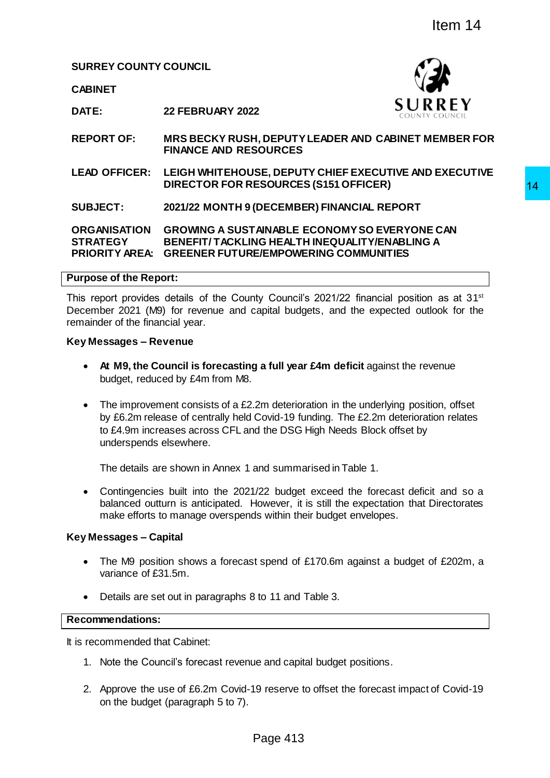**SURREY COUNTY COUNCIL**

**CABINET**



**DATE: 22 FEBRUARY 2022**

**REPORT OF: MRS BECKY RUSH, DEPUTY LEADER AND CABINET MEMBER FOR FINANCE AND RESOURCES**

**LEAD OFFICER: LEIGH WHITEHOUSE, DEPUTY CHIEF EXECUTIVE AND EXECUTIVE DIRECTOR FOR RESOURCES (S151 OFFICER)**

**SUBJECT: 2021/22 MONTH 9 (DECEMBER) FINANCIAL REPORT**

**ORGANISATION GROWING A SUSTAINABLE ECONOMY SO EVERYONE CAN STRATEGY PRIORITY AREA: GREENER FUTURE/EMPOWERING COMMUNITIES BENEFIT/ TACKLING HEALTH INEQUALITY/ENABLING A** 

#### **Purpose of the Report:**

This report provides details of the County Council's 2021/22 financial position as at 31<sup>st</sup> December 2021 (M9) for revenue and capital budgets, and the expected outlook for the remainder of the financial year.

#### **Key Messages – Revenue**

- **At M9, the Council is forecasting a full year £4m deficit** against the revenue budget, reduced by £4m from M8.
- The improvement consists of a £2.2m deterioration in the underlying position, offset by £6.2m release of centrally held Covid-19 funding. The £2.2m deterioration relates to £4.9m increases across CFL and the DSG High Needs Block offset by underspends elsewhere. The Magnetic Section Control of the Section of the Section of the Section of the Section of the Section CHER CREW SOURCES<br>
SOURCES<br>
SOURCES<br>
SOURCES (S151 OFFICER)<br>
(DECEMBER) FINANCIAL REPORT<br>
(DECEMBER) FINANCIAL REPORT<br>

The details are shown in Annex 1 and summarised in Table 1.

 Contingencies built into the 2021/22 budget exceed the forecast deficit and so a balanced outturn is anticipated. However, it is still the expectation that Directorates make efforts to manage overspends within their budget envelopes.

# **Key Messages – Capital**

- The M9 position shows a forecast spend of £170.6m against a budget of £202m, a variance of £31.5m.
- Details are set out in paragraphs 8 to 11 and Table 3.

#### **Recommendations:**

It is recommended that Cabinet:

- 1. Note the Council's forecast revenue and capital budget positions.
- 2. Approve the use of £6.2m Covid-19 reserve to offset the forecast impact of Covid-19 on the budget (paragraph 5 to 7).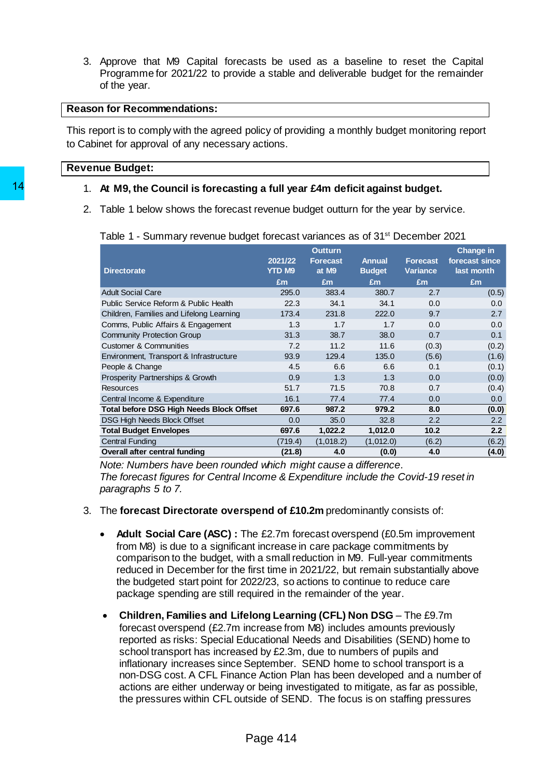3. Approve that M9 Capital forecasts be used as a baseline to reset the Capital Programme for 2021/22 to provide a stable and deliverable budget for the remainder of the year.

# **Reason for Recommendations:**

This report is to comply with the agreed policy of providing a monthly budget monitoring report to Cabinet for approval of any necessary actions.

#### **Revenue Budget:**

#### 1. **At M9, the Council is forecasting a full year £4m deficit against budget.**

| £m<br>295.0<br>22.3<br>173.4<br>1.3<br>31.3<br>7.2<br>93.9<br>4.5<br>0.9 | £m<br>383.4<br>34.1<br>231.8<br>1.7<br>38.7<br>11.2<br>129.4 | £m<br>380.7<br>34.1<br>222.0<br>1.7<br>38.0                                                                         | £m<br>2.7<br>0.0<br>9.7<br>0.0        | £m<br>(0.5)                                                                                                                                                                                                                                                                                                                                                                                                                                                                                                                                                                                                                                                                                                                                                                                                                                                                                                |
|--------------------------------------------------------------------------|--------------------------------------------------------------|---------------------------------------------------------------------------------------------------------------------|---------------------------------------|------------------------------------------------------------------------------------------------------------------------------------------------------------------------------------------------------------------------------------------------------------------------------------------------------------------------------------------------------------------------------------------------------------------------------------------------------------------------------------------------------------------------------------------------------------------------------------------------------------------------------------------------------------------------------------------------------------------------------------------------------------------------------------------------------------------------------------------------------------------------------------------------------------|
|                                                                          |                                                              |                                                                                                                     |                                       |                                                                                                                                                                                                                                                                                                                                                                                                                                                                                                                                                                                                                                                                                                                                                                                                                                                                                                            |
|                                                                          |                                                              |                                                                                                                     |                                       |                                                                                                                                                                                                                                                                                                                                                                                                                                                                                                                                                                                                                                                                                                                                                                                                                                                                                                            |
|                                                                          |                                                              |                                                                                                                     |                                       |                                                                                                                                                                                                                                                                                                                                                                                                                                                                                                                                                                                                                                                                                                                                                                                                                                                                                                            |
|                                                                          |                                                              |                                                                                                                     |                                       |                                                                                                                                                                                                                                                                                                                                                                                                                                                                                                                                                                                                                                                                                                                                                                                                                                                                                                            |
|                                                                          |                                                              |                                                                                                                     |                                       |                                                                                                                                                                                                                                                                                                                                                                                                                                                                                                                                                                                                                                                                                                                                                                                                                                                                                                            |
|                                                                          |                                                              |                                                                                                                     | 0.7                                   |                                                                                                                                                                                                                                                                                                                                                                                                                                                                                                                                                                                                                                                                                                                                                                                                                                                                                                            |
|                                                                          |                                                              | 11.6                                                                                                                | (0.3)                                 |                                                                                                                                                                                                                                                                                                                                                                                                                                                                                                                                                                                                                                                                                                                                                                                                                                                                                                            |
|                                                                          |                                                              | 135.0                                                                                                               | (5.6)                                 |                                                                                                                                                                                                                                                                                                                                                                                                                                                                                                                                                                                                                                                                                                                                                                                                                                                                                                            |
|                                                                          | 6.6                                                          | 6.6                                                                                                                 | 0.1                                   |                                                                                                                                                                                                                                                                                                                                                                                                                                                                                                                                                                                                                                                                                                                                                                                                                                                                                                            |
|                                                                          | 1.3                                                          | 1.3                                                                                                                 | 0.0                                   |                                                                                                                                                                                                                                                                                                                                                                                                                                                                                                                                                                                                                                                                                                                                                                                                                                                                                                            |
| 51.7                                                                     | 71.5                                                         | 70.8                                                                                                                | 0.7                                   |                                                                                                                                                                                                                                                                                                                                                                                                                                                                                                                                                                                                                                                                                                                                                                                                                                                                                                            |
| 16.1                                                                     | 77.4                                                         | 77.4                                                                                                                | 0.0                                   |                                                                                                                                                                                                                                                                                                                                                                                                                                                                                                                                                                                                                                                                                                                                                                                                                                                                                                            |
| 697.6                                                                    | 987.2                                                        | 979.2                                                                                                               | 8.0                                   |                                                                                                                                                                                                                                                                                                                                                                                                                                                                                                                                                                                                                                                                                                                                                                                                                                                                                                            |
|                                                                          |                                                              |                                                                                                                     |                                       |                                                                                                                                                                                                                                                                                                                                                                                                                                                                                                                                                                                                                                                                                                                                                                                                                                                                                                            |
|                                                                          |                                                              |                                                                                                                     |                                       |                                                                                                                                                                                                                                                                                                                                                                                                                                                                                                                                                                                                                                                                                                                                                                                                                                                                                                            |
|                                                                          |                                                              |                                                                                                                     |                                       |                                                                                                                                                                                                                                                                                                                                                                                                                                                                                                                                                                                                                                                                                                                                                                                                                                                                                                            |
|                                                                          |                                                              |                                                                                                                     |                                       |                                                                                                                                                                                                                                                                                                                                                                                                                                                                                                                                                                                                                                                                                                                                                                                                                                                                                                            |
|                                                                          | 0.0<br>697.6<br>(719.4)<br>(21.8)                            | 35.0<br>1,022.2<br>(1,018.2)<br>4.0<br>reported as risks: Special Educational Needs and Disabilities (SEND) home to | 32.8<br>1,012.0<br>(1,012.0)<br>(0.0) | 2.2<br>10.2<br>(6.2)<br>4.0<br>Note: Numbers have been rounded which might cause a difference.<br>The forecast figures for Central Income & Expenditure include the Covid-19 reset in<br>The forecast Directorate overspend of £10.2m predominantly consists of:<br><b>Adult Social Care (ASC):</b> The £2.7m forecast overspend (£0.5m improvement<br>from M8) is due to a significant increase in care package commitments by<br>comparison to the budget, with a small reduction in M9. Full-year commitments<br>reduced in December for the first time in 2021/22, but remain substantially above<br>the budgeted start point for 2022/23, so actions to continue to reduce care<br>package spending are still required in the remainder of the year.<br>Children, Families and Lifelong Learning (CFL) Non DSG - The £9.7m<br>forecast overspend (£2.7m increase from M8) includes amounts previously |

- 3. The **forecast Directorate overspend of £10.2m** predominantly consists of:
	- **Adult Social Care (ASC) :** The £2.7m forecast overspend (£0.5m improvement from M8) is due to a significant increase in care package commitments by comparison to the budget, with a small reduction in M9. Full-year commitments reduced in December for the first time in 2021/22, but remain substantially above the budgeted start point for 2022/23, so actions to continue to reduce care package spending are still required in the remainder of the year.
	- **Children, Families and Lifelong Learning (CFL) Non DSG** The £9.7m forecast overspend (£2.7m increase from M8) includes amounts previously reported as risks: Special Educational Needs and Disabilities (SEND) home to school transport has increased by £2.3m, due to numbers of pupils and inflationary increases since September. SEND home to school transport is a non-DSG cost. A CFL Finance Action Plan has been developed and a number of actions are either underway or being investigated to mitigate, as far as possible, the pressures within CFL outside of SEND. The focus is on staffing pressures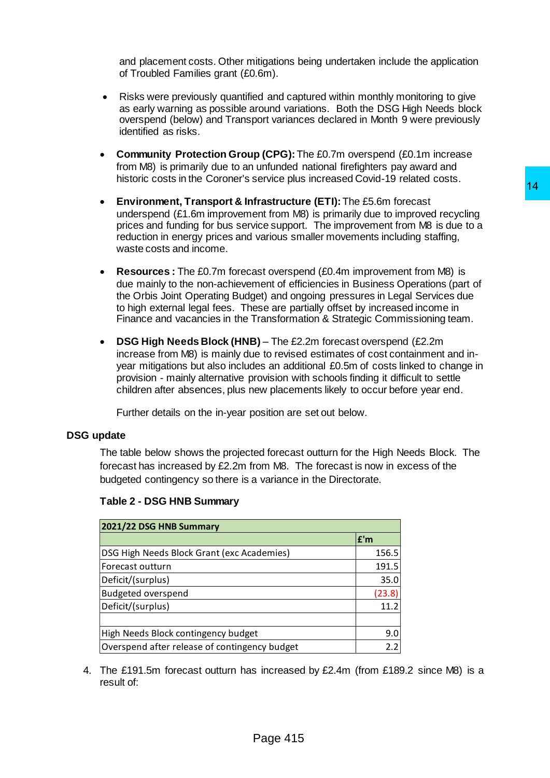and placement costs. Other mitigations being undertaken include the application of Troubled Families grant (£0.6m).

- Risks were previously quantified and captured within monthly monitoring to give as early warning as possible around variations. Both the DSG High Needs block overspend (below) and Transport variances declared in Month 9 were previously identified as risks.
- **Community Protection Group (CPG):**The £0.7m overspend (£0.1m increase from M8) is primarily due to an unfunded national firefighters pay award and historic costs in the Coroner's service plus increased Covid-19 related costs.
- **Environment, Transport & Infrastructure (ETI):**The £5.6m forecast underspend (£1.6m improvement from M8) is primarily due to improved recycling prices and funding for bus service support. The improvement from M8 is due to a reduction in energy prices and various smaller movements including staffing, waste costs and income.
- **Resources :** The £0.7m forecast overspend (£0.4m improvement from M8) is due mainly to the non-achievement of efficiencies in Business Operations (part of the Orbis Joint Operating Budget) and ongoing pressures in Legal Services due to high external legal fees. These are partially offset by increased income in Finance and vacancies in the Transformation & Strategic Commissioning team.
- **DSG High Needs Block (HNB)**  The £2.2m forecast overspend (£2.2m increase from M8) is mainly due to revised estimates of cost containment and inyear mitigations but also includes an additional £0.5m of costs linked to change in provision - mainly alternative provision with schools finding it difficult to settle children after absences, plus new placements likely to occur before year end.

# **DSG update**

|                                                                                                                                                                                                                                                                                                                                                                                                                                   |        | 14 |
|-----------------------------------------------------------------------------------------------------------------------------------------------------------------------------------------------------------------------------------------------------------------------------------------------------------------------------------------------------------------------------------------------------------------------------------|--------|----|
| Environment, Transport & Infrastructure (ETI): The £5.6m forecast<br>$\bullet$<br>underspend (£1.6m improvement from M8) is primarily due to improved recycling<br>prices and funding for bus service support. The improvement from M8 is due to a<br>reduction in energy prices and various smaller movements including staffing,<br>waste costs and income.                                                                     |        |    |
| <b>Resources:</b> The £0.7m forecast overspend (£0.4m improvement from M8) is<br>$\bullet$<br>due mainly to the non-achievement of efficiencies in Business Operations (part of<br>the Orbis Joint Operating Budget) and ongoing pressures in Legal Services due<br>to high external legal fees. These are partially offset by increased income in<br>Finance and vacancies in the Transformation & Strategic Commissioning team. |        |    |
| DSG High Needs Block (HNB) - The £2.2m forecast overspend (£2.2m<br>$\bullet$<br>increase from M8) is mainly due to revised estimates of cost containment and in-<br>year mitigations but also includes an additional £0.5m of costs linked to change in<br>provision - mainly alternative provision with schools finding it difficult to settle<br>children after absences, plus new placements likely to occur before year end. |        |    |
| Further details on the in-year position are set out below.                                                                                                                                                                                                                                                                                                                                                                        |        |    |
| pdate                                                                                                                                                                                                                                                                                                                                                                                                                             |        |    |
| The table below shows the projected forecast outturn for the High Needs Block. The                                                                                                                                                                                                                                                                                                                                                |        |    |
|                                                                                                                                                                                                                                                                                                                                                                                                                                   |        |    |
| forecast has increased by £2.2m from M8. The forecast is now in excess of the                                                                                                                                                                                                                                                                                                                                                     |        |    |
| budgeted contingency so there is a variance in the Directorate.                                                                                                                                                                                                                                                                                                                                                                   |        |    |
| Table 2 - DSG HNB Summary                                                                                                                                                                                                                                                                                                                                                                                                         |        |    |
| 2021/22 DSG HNB Summary                                                                                                                                                                                                                                                                                                                                                                                                           |        |    |
|                                                                                                                                                                                                                                                                                                                                                                                                                                   | £'m    |    |
| DSG High Needs Block Grant (exc Academies)                                                                                                                                                                                                                                                                                                                                                                                        | 156.5  |    |
| Forecast outturn                                                                                                                                                                                                                                                                                                                                                                                                                  | 191.5  |    |
| Deficit/(surplus)                                                                                                                                                                                                                                                                                                                                                                                                                 | 35.0   |    |
| <b>Budgeted overspend</b>                                                                                                                                                                                                                                                                                                                                                                                                         | (23.8) |    |
| Deficit/(surplus)                                                                                                                                                                                                                                                                                                                                                                                                                 | 11.2   |    |
|                                                                                                                                                                                                                                                                                                                                                                                                                                   |        |    |
| High Needs Block contingency budget                                                                                                                                                                                                                                                                                                                                                                                               |        |    |
| Overspend after release of contingency budget                                                                                                                                                                                                                                                                                                                                                                                     | 9.0    |    |
|                                                                                                                                                                                                                                                                                                                                                                                                                                   | 2.2    |    |
| The £191.5m forecast outturn has increased by £2.4m (from £189.2 since M8) is a<br>result of:                                                                                                                                                                                                                                                                                                                                     |        |    |
|                                                                                                                                                                                                                                                                                                                                                                                                                                   |        |    |
|                                                                                                                                                                                                                                                                                                                                                                                                                                   |        |    |
| Page 415                                                                                                                                                                                                                                                                                                                                                                                                                          |        |    |

#### **Table 2 - DSG HNB Summary**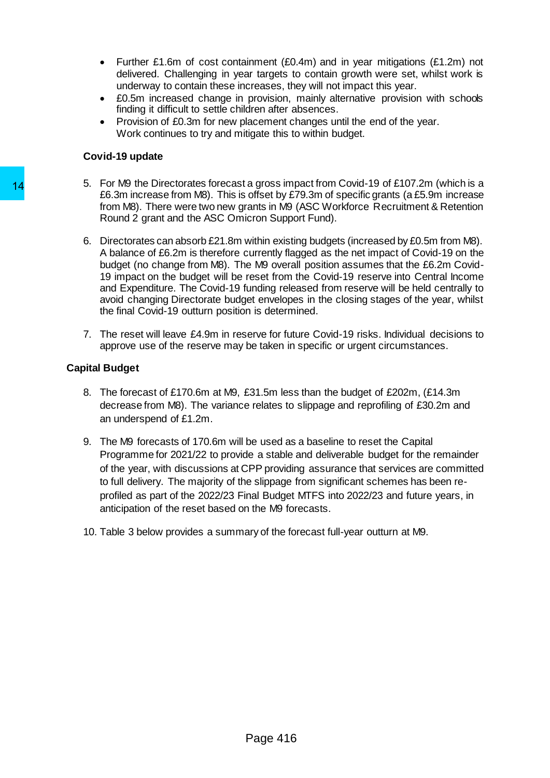- Further £1.6m of cost containment (£0.4m) and in year mitigations (£1.2m) not delivered. Challenging in year targets to contain growth were set, whilst work is underway to contain these increases, they will not impact this year.
- £0.5m increased change in provision, mainly alternative provision with schools finding it difficult to settle children after absences.
- Provision of £0.3m for new placement changes until the end of the year. Work continues to try and mitigate this to within budget.

# **Covid-19 update**

- 5. For M9 the Directorates forecast a gross impact from Covid-19 of £107.2m (which is a £6.3m increase from M8). This is offset by £79.3m of specific grants (a £5.9m increase from M8). There were two new grants in M9 (ASC Workforce Recruitment & Retention Round 2 grant and the ASC Omicron Support Fund).
- 6. Directorates can absorb £21.8m within existing budgets (increased by £0.5m from M8). A balance of £6.2m is therefore currently flagged as the net impact of Covid-19 on the budget (no change from M8). The M9 overall position assumes that the £6.2m Covid-19 impact on the budget will be reset from the Covid-19 reserve into Central Income and Expenditure. The Covid-19 funding released from reserve will be held centrally to avoid changing Directorate budget envelopes in the closing stages of the year, whilst the final Covid-19 outturn position is determined. 14 b. For My Ine unrecorders forecast agress impact and gross impact and the EC.3 minicroses from M8). This is offstet by  $E$  from M8). There were two new grants in M9<br>Faculta Roughly 1. There were two new grants in M9<br>Fa
	- 7. The reset will leave £4.9m in reserve for future Covid-19 risks. Individual decisions to approve use of the reserve may be taken in specific or urgent circumstances.

#### **Capital Budget**

- 8. The forecast of £170.6m at M9, £31.5m less than the budget of £202m, (£14.3m decrease from M8). The variance relates to slippage and reprofiling of £30.2m and an underspend of £1.2m.
- 9. The M9 forecasts of 170.6m will be used as a baseline to reset the Capital Programme for 2021/22 to provide a stable and deliverable budget for the remainder of the year, with discussions at CPP providing assurance that services are committed to full delivery. The majority of the slippage from significant schemes has been reprofiled as part of the 2022/23 Final Budget MTFS into 2022/23 and future years, in anticipation of the reset based on the M9 forecasts.
- 10. Table 3 below provides a summary of the forecast full-year outturn at M9.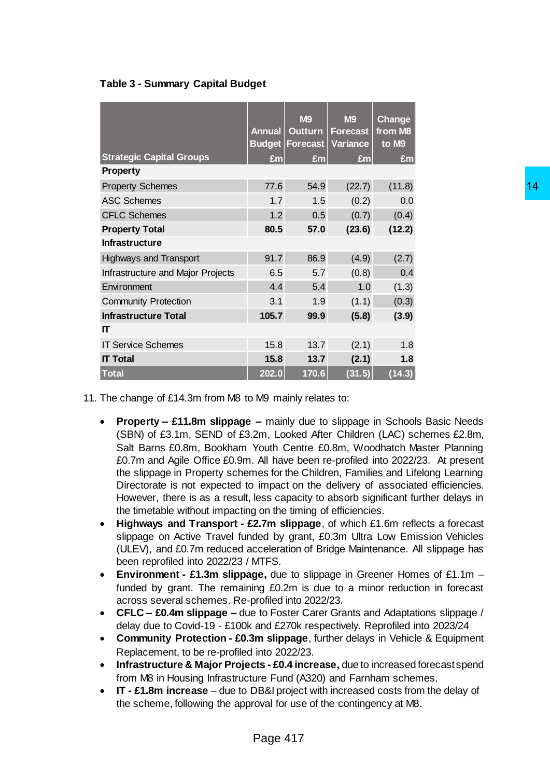# **Table 3 - Summary Capital Budget**

|                                                                                                                                                                                                                                                                                                                                                                                                                                                                                                                                                                                                                                                                                                                                                                                                                                                                                                                                                                                                                                                                                                                                                                                                                                                                                                                                                                                                                                                                                                                                                                                                                                                                                                                         | <b>Annual</b>                | <b>M9</b><br><b>Outturn</b><br><b>Budget Forecast</b> | <b>M9</b><br><b>Forecast</b><br><b>Variance</b> | <b>Change</b><br>from M8<br>to M9 |  |    |
|-------------------------------------------------------------------------------------------------------------------------------------------------------------------------------------------------------------------------------------------------------------------------------------------------------------------------------------------------------------------------------------------------------------------------------------------------------------------------------------------------------------------------------------------------------------------------------------------------------------------------------------------------------------------------------------------------------------------------------------------------------------------------------------------------------------------------------------------------------------------------------------------------------------------------------------------------------------------------------------------------------------------------------------------------------------------------------------------------------------------------------------------------------------------------------------------------------------------------------------------------------------------------------------------------------------------------------------------------------------------------------------------------------------------------------------------------------------------------------------------------------------------------------------------------------------------------------------------------------------------------------------------------------------------------------------------------------------------------|------------------------------|-------------------------------------------------------|-------------------------------------------------|-----------------------------------|--|----|
| <b>Strategic Capital Groups</b><br><b>Property</b>                                                                                                                                                                                                                                                                                                                                                                                                                                                                                                                                                                                                                                                                                                                                                                                                                                                                                                                                                                                                                                                                                                                                                                                                                                                                                                                                                                                                                                                                                                                                                                                                                                                                      | £m                           | £m                                                    | £m                                              | £m                                |  |    |
| <b>Property Schemes</b>                                                                                                                                                                                                                                                                                                                                                                                                                                                                                                                                                                                                                                                                                                                                                                                                                                                                                                                                                                                                                                                                                                                                                                                                                                                                                                                                                                                                                                                                                                                                                                                                                                                                                                 | 77.6                         | 54.9                                                  | (22.7)                                          | (11.8)                            |  | 14 |
| <b>ASC Schemes</b>                                                                                                                                                                                                                                                                                                                                                                                                                                                                                                                                                                                                                                                                                                                                                                                                                                                                                                                                                                                                                                                                                                                                                                                                                                                                                                                                                                                                                                                                                                                                                                                                                                                                                                      | 1.7                          | 1.5                                                   | (0.2)                                           | 0.0                               |  |    |
| <b>CFLC Schemes</b>                                                                                                                                                                                                                                                                                                                                                                                                                                                                                                                                                                                                                                                                                                                                                                                                                                                                                                                                                                                                                                                                                                                                                                                                                                                                                                                                                                                                                                                                                                                                                                                                                                                                                                     | 1.2                          | 0.5                                                   | (0.7)                                           | (0.4)                             |  |    |
| <b>Property Total</b>                                                                                                                                                                                                                                                                                                                                                                                                                                                                                                                                                                                                                                                                                                                                                                                                                                                                                                                                                                                                                                                                                                                                                                                                                                                                                                                                                                                                                                                                                                                                                                                                                                                                                                   | 80.5                         | 57.0                                                  | (23.6)                                          | (12.2)                            |  |    |
| <b>Infrastructure</b>                                                                                                                                                                                                                                                                                                                                                                                                                                                                                                                                                                                                                                                                                                                                                                                                                                                                                                                                                                                                                                                                                                                                                                                                                                                                                                                                                                                                                                                                                                                                                                                                                                                                                                   |                              |                                                       |                                                 |                                   |  |    |
| <b>Highways and Transport</b>                                                                                                                                                                                                                                                                                                                                                                                                                                                                                                                                                                                                                                                                                                                                                                                                                                                                                                                                                                                                                                                                                                                                                                                                                                                                                                                                                                                                                                                                                                                                                                                                                                                                                           | 91.7                         | 86.9                                                  | (4.9)                                           | (2.7)                             |  |    |
| Infrastructure and Major Projects                                                                                                                                                                                                                                                                                                                                                                                                                                                                                                                                                                                                                                                                                                                                                                                                                                                                                                                                                                                                                                                                                                                                                                                                                                                                                                                                                                                                                                                                                                                                                                                                                                                                                       | 6.5                          | 5.7                                                   | (0.8)                                           | 0.4                               |  |    |
| Environment                                                                                                                                                                                                                                                                                                                                                                                                                                                                                                                                                                                                                                                                                                                                                                                                                                                                                                                                                                                                                                                                                                                                                                                                                                                                                                                                                                                                                                                                                                                                                                                                                                                                                                             | 4.4                          | 5.4                                                   | 1.0                                             | (1.3)                             |  |    |
| <b>Community Protection</b>                                                                                                                                                                                                                                                                                                                                                                                                                                                                                                                                                                                                                                                                                                                                                                                                                                                                                                                                                                                                                                                                                                                                                                                                                                                                                                                                                                                                                                                                                                                                                                                                                                                                                             | 3.1                          | 1.9                                                   | (1.1)                                           | (0.3)                             |  |    |
| <b>Infrastructure Total</b>                                                                                                                                                                                                                                                                                                                                                                                                                                                                                                                                                                                                                                                                                                                                                                                                                                                                                                                                                                                                                                                                                                                                                                                                                                                                                                                                                                                                                                                                                                                                                                                                                                                                                             | 105.7                        | 99.9                                                  | (5.8)                                           | (3.9)                             |  |    |
| IT                                                                                                                                                                                                                                                                                                                                                                                                                                                                                                                                                                                                                                                                                                                                                                                                                                                                                                                                                                                                                                                                                                                                                                                                                                                                                                                                                                                                                                                                                                                                                                                                                                                                                                                      |                              |                                                       |                                                 |                                   |  |    |
| <b>IT Service Schemes</b>                                                                                                                                                                                                                                                                                                                                                                                                                                                                                                                                                                                                                                                                                                                                                                                                                                                                                                                                                                                                                                                                                                                                                                                                                                                                                                                                                                                                                                                                                                                                                                                                                                                                                               | 13.7<br>(2.1)<br>1.8<br>15.8 |                                                       |                                                 |                                   |  |    |
| <b>IT Total</b>                                                                                                                                                                                                                                                                                                                                                                                                                                                                                                                                                                                                                                                                                                                                                                                                                                                                                                                                                                                                                                                                                                                                                                                                                                                                                                                                                                                                                                                                                                                                                                                                                                                                                                         | 15.8                         | 13.7                                                  | (2.1)                                           | 1.8                               |  |    |
| <b>Total</b>                                                                                                                                                                                                                                                                                                                                                                                                                                                                                                                                                                                                                                                                                                                                                                                                                                                                                                                                                                                                                                                                                                                                                                                                                                                                                                                                                                                                                                                                                                                                                                                                                                                                                                            | 202.0                        | 170.6                                                 | (31.5)                                          | (14.3)                            |  |    |
| Salt Barns £0.8m, Bookham Youth Centre £0.8m, Woodhatch Master Planning<br>£0.7m and Agile Office £0.9m. All have been re-profiled into 2022/23. At present<br>the slippage in Property schemes for the Children, Families and Lifelong Learning<br>Directorate is not expected to impact on the delivery of associated efficiencies.<br>However, there is as a result, less capacity to absorb significant further delays in<br>the timetable without impacting on the timing of efficiencies.<br>Highways and Transport - £2.7m slippage, of which £1.6m reflects a forecast<br>$\bullet$<br>slippage on Active Travel funded by grant, £0.3m Ultra Low Emission Vehicles<br>(ULEV), and £0.7m reduced acceleration of Bridge Maintenance. All slippage has<br>been reprofiled into 2022/23 / MTFS.<br>Environment - £1.3m slippage, due to slippage in Greener Homes of £1.1m -<br>$\bullet$<br>funded by grant. The remaining £0.2m is due to a minor reduction in forecast<br>across several schemes. Re-profiled into 2022/23.<br><b>CFLC – £0.4m slippage –</b> due to Foster Carer Grants and Adaptations slippage /<br>$\bullet$<br>delay due to Covid-19 - £100k and £270k respectively. Reprofiled into 2023/24<br>Community Protection - £0.3m slippage, further delays in Vehicle & Equipment<br>$\bullet$<br>Replacement, to be re-profiled into 2022/23.<br>Infrastructure & Major Projects - £0.4 increase, due to increased forecast spend<br>$\bullet$<br>from M8 in Housing Infrastructure Fund (A320) and Farnham schemes.<br>IT - £1.8m increase – due to DB&I project with increased costs from the delay of<br>$\bullet$<br>the scheme, following the approval for use of the contingency at M8. |                              |                                                       |                                                 |                                   |  |    |
|                                                                                                                                                                                                                                                                                                                                                                                                                                                                                                                                                                                                                                                                                                                                                                                                                                                                                                                                                                                                                                                                                                                                                                                                                                                                                                                                                                                                                                                                                                                                                                                                                                                                                                                         |                              |                                                       |                                                 |                                   |  |    |

11. The change of £14.3m from M8 to M9 mainly relates to:

- **Property – £11.8m slippage –** mainly due to slippage in Schools Basic Needs (SBN) of £3.1m, SEND of £3.2m, Looked After Children (LAC) schemes £2.8m, Salt Barns £0.8m, Bookham Youth Centre £0.8m, Woodhatch Master Planning £0.7m and Agile Office £0.9m. All have been re-profiled into 2022/23. At present the slippage in Property schemes for the Children, Families and Lifelong Learning Directorate is not expected to impact on the delivery of associated efficiencies. However, there is as a result, less capacity to absorb significant further delays in the timetable without impacting on the timing of efficiencies.
- **Highways and Transport - £2.7m slippage**, of which £1.6m reflects a forecast slippage on Active Travel funded by grant, £0.3m Ultra Low Emission Vehicles (ULEV), and £0.7m reduced acceleration of Bridge Maintenance. All slippage has been reprofiled into 2022/23 / MTFS.
- **Environment - £1.3m slippage,** due to slippage in Greener Homes of £1.1m funded by grant. The remaining £0.2m is due to a minor reduction in forecast across several schemes. Re-profiled into 2022/23.
- **CFLC – £0.4m slippage –** due to Foster Carer Grants and Adaptations slippage / delay due to Covid-19 - £100k and £270k respectively. Reprofiled into 2023/24
- **Community Protection - £0.3m slippage**, further delays in Vehicle & Equipment Replacement, to be re-profiled into 2022/23.
- **Infrastructure & Major Projects - £0.4 increase,** due to increased forecast spend from M8 in Housing Infrastructure Fund (A320) and Farnham schemes.
- **IT - £1.8m increase** due to DB&I project with increased costs from the delay of the scheme, following the approval for use of the contingency at M8.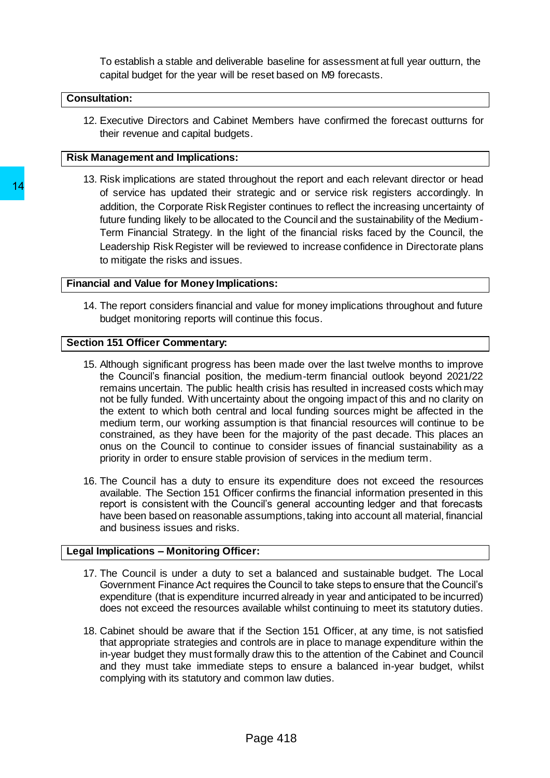To establish a stable and deliverable baseline for assessment at full year outturn, the capital budget for the year will be reset based on M9 forecasts.

# **Consultation:**

12. Executive Directors and Cabinet Members have confirmed the forecast outturns for their revenue and capital budgets.

### **Risk Management and Implications:**

13. Risk implications are stated throughout the report and each relevant director or head of service has updated their strategic and or service risk registers accordingly. In addition, the Corporate Risk Register continues to reflect the increasing uncertainty of future funding likely to be allocated to the Council and the sustainability of the Medium-Term Financial Strategy. In the light of the financial risks faced by the Council, the Leadership Risk Register will be reviewed to increase confidence in Directorate plans to mitigate the risks and issues.

# **Financial and Value for Money Implications:**

14. The report considers financial and value for money implications throughout and future budget monitoring reports will continue this focus.

# **Section 151 Officer Commentary:**

- 15. Although significant progress has been made over the last twelve months to improve the Council's financial position, the medium-term financial outlook beyond 2021/22 remains uncertain. The public health crisis has resulted in increased costs which may not be fully funded. With uncertainty about the ongoing impact of this and no clarity on the extent to which both central and local funding sources might be affected in the medium term, our working assumption is that financial resources will continue to be constrained, as they have been for the majority of the past decade. This places an onus on the Council to continue to consider issues of financial sustainability as a priority in order to ensure stable provision of services in the medium term. 14<br>
14<br>
16 convictor and contain and contain strategic and<br>
addition, the Corporate Risk Register continue funding likely to be allocated to the Co<br>
16 structe funding likely to be allocated to the Co<br>
16 container Bin Ris
	- 16. The Council has a duty to ensure its expenditure does not exceed the resources available. The Section 151 Officer confirms the financial information presented in this report is consistent with the Council's general accounting ledger and that forecasts have been based on reasonable assumptions, taking into account all material, financial and business issues and risks.

# **Legal Implications – Monitoring Officer:**

- 17. The Council is under a duty to set a balanced and sustainable budget. The Local Government Finance Act requires the Council to take steps to ensure that the Council's expenditure (that is expenditure incurred already in year and anticipated to be incurred) does not exceed the resources available whilst continuing to meet its statutory duties.
- 18. Cabinet should be aware that if the Section 151 Officer, at any time, is not satisfied that appropriate strategies and controls are in place to manage expenditure within the in-year budget they must formally draw this to the attention of the Cabinet and Council and they must take immediate steps to ensure a balanced in-year budget, whilst complying with its statutory and common law duties.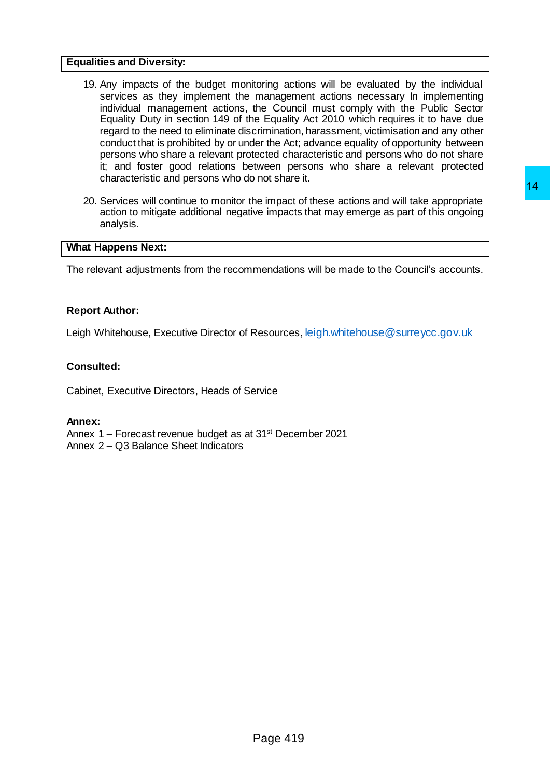#### **Equalities and Diversity:**

- 19. Any impacts of the budget monitoring actions will be evaluated by the individual services as they implement the management actions necessary In implementing individual management actions, the Council must comply with the Public Sector Equality Duty in section 149 of the Equality Act 2010 which requires it to have due regard to the need to eliminate discrimination, harassment, victimisation and any other conduct that is prohibited by or under the Act; advance equality of opportunity between persons who share a relevant protected characteristic and persons who do not share it; and foster good relations between persons who share a relevant protected characteristic and persons who do not share it.
- 20. Services will continue to monitor the impact of these actions and will take appropriate action to mitigate additional negative impacts that may emerge as part of this ongoing analysis. ne impact of these actions and will take appropriate<br>ve impacts that may emerge as part of this ongoing<br>mendations will be made to the Council's accounts.<br>Resources, <u>leigh,whitehouse@surreycc.gov.uk</u><br>strvice<br>31<sup>at</sup> Decemb

#### **What Happens Next:**

The relevant adjustments from the recommendations will be made to the Council's accounts.

# **Report Author:**

Leigh Whitehouse, Executive Director of Resources, [leigh.whitehouse@surreycc.gov.uk](mailto:leigh.whitehouse@surreycc.gov.uk)

# **Consulted:**

Cabinet, Executive Directors, Heads of Service

#### **Annex:**

Annex 1 – Forecast revenue budget as at 31<sup>st</sup> December 2021

Annex 2 – Q3 Balance Sheet Indicators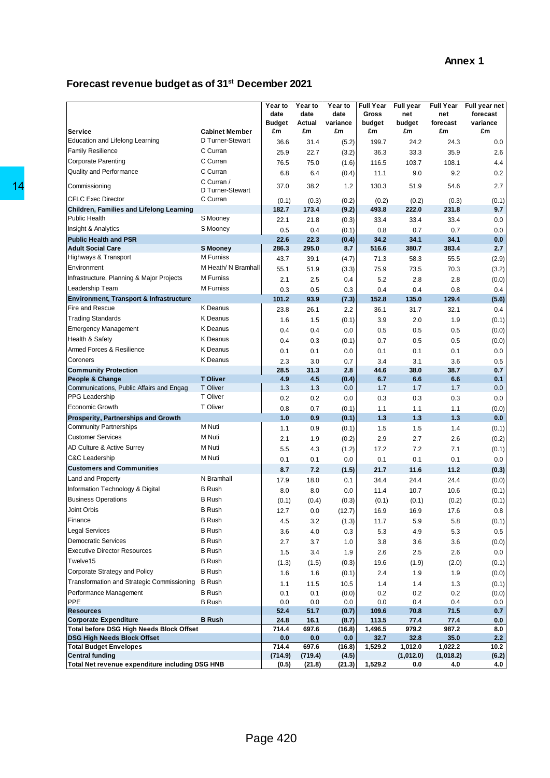### **Forecast revenue budget as of 31 st December 2021**

| Service                                                                                                                                                            | <b>Cabinet Member</b>              | Year to<br>date<br><b>Budget</b><br>£m | Year to<br>date<br>Actual<br>£m | Year to<br>date<br>variance<br>£m | <b>Full Year</b><br>Gross<br>budget<br>£m | Full year<br>net<br>budget<br>£m | <b>Full Year</b><br>net<br>forecast<br>£m | Full year net<br>forecast<br>variance<br>£m |
|--------------------------------------------------------------------------------------------------------------------------------------------------------------------|------------------------------------|----------------------------------------|---------------------------------|-----------------------------------|-------------------------------------------|----------------------------------|-------------------------------------------|---------------------------------------------|
| Education and Lifelong Learning                                                                                                                                    | D Turner-Stewart                   | 36.6                                   | 31.4                            | (5.2)                             | 199.7                                     | 24.2                             | 24.3                                      | 0.0                                         |
| <b>Family Resilience</b>                                                                                                                                           | C Curran                           | 25.9                                   | 22.7                            | (3.2)                             | 36.3                                      | 33.3                             | 35.9                                      | 2.6                                         |
| <b>Corporate Parenting</b>                                                                                                                                         | C Curran                           | 76.5                                   | 75.0                            | (1.6)                             | 116.5                                     | 103.7                            | 108.1                                     | 4.4                                         |
| <b>Quality and Performance</b>                                                                                                                                     | C Curran                           | 6.8                                    | 6.4                             | (0.4)                             | 11.1                                      | 9.0                              | 9.2                                       | 0.2                                         |
| Commissioning                                                                                                                                                      | C Curran /<br>D Turner-Stewart     | 37.0                                   | 38.2                            | 1.2                               | 130.3                                     | 51.9                             | 54.6                                      | 2.7                                         |
| <b>CFLC Exec Director</b>                                                                                                                                          | C Curran                           | (0.1)                                  | (0.3)                           | (0.2)                             | (0.2)                                     | (0.2)                            | (0.3)                                     | (0.1)                                       |
| Children, Families and Lifelong Learning                                                                                                                           |                                    | 182.7                                  | 173.4                           | (9.2)                             | 493.8                                     | 222.0                            | 231.8                                     | 9.7                                         |
| <b>Public Health</b>                                                                                                                                               | S Mooney                           | 22.1                                   | 21.8                            | (0.3)                             | 33.4                                      | 33.4                             | 33.4                                      | 0.0                                         |
| <b>Insight &amp; Analytics</b>                                                                                                                                     | S Mooney                           | 0.5                                    | 0.4                             | (0.1)                             | 0.8                                       | 0.7                              | 0.7                                       | 0.0                                         |
| <b>Public Health and PSR</b>                                                                                                                                       |                                    | 22.6                                   | 22.3                            | (0.4)                             | 34.2                                      | 34.1                             | 34.1                                      | 0.0                                         |
| <b>Adult Social Care</b>                                                                                                                                           | S Mooney<br>M Furniss              | 286.3                                  | 295.0                           | 8.7                               | 516.6                                     | 380.7                            | 383.4                                     | 2.7                                         |
| Highways & Transport                                                                                                                                               |                                    | 43.7                                   | 39.1                            | (4.7)                             | 71.3                                      | 58.3                             | 55.5                                      | (2.9)                                       |
| Environment                                                                                                                                                        | M Heath/ N Bramhall                | 55.1                                   | 51.9                            | (3.3)                             | 75.9                                      | 73.5                             | 70.3                                      | (3.2)                                       |
| Infrastructure, Planning & Major Projects                                                                                                                          | <b>M</b> Furniss                   | 2.1                                    | 2.5                             | 0.4                               | 5.2                                       | 2.8                              | 2.8                                       | (0.0)                                       |
| Leadership Team                                                                                                                                                    | M Furniss                          | 0.3                                    | 0.5                             | 0.3                               | 0.4                                       | 0.4                              | 0.8                                       | 0.4                                         |
| Environment, Transport & Infrastructure<br>Fire and Rescue                                                                                                         | <b>K</b> Deanus                    | 101.2                                  | 93.9                            | (7.3)                             | 152.8                                     | 135.0                            | 129.4                                     | (5.6)                                       |
| <b>Trading Standards</b>                                                                                                                                           | <b>K</b> Deanus                    | 23.8                                   | 26.1                            | 2.2                               | 36.1                                      | 31.7                             | 32.1                                      | 0.4                                         |
|                                                                                                                                                                    |                                    | 1.6                                    | 1.5                             | (0.1)                             | 3.9                                       | 2.0                              | 1.9                                       | (0.1)                                       |
| <b>Emergency Management</b><br>Health & Safety                                                                                                                     | <b>K</b> Deanus<br><b>K</b> Deanus | 0.4                                    | 0.4                             | 0.0                               | 0.5                                       | 0.5                              | 0.5                                       | (0.0)                                       |
|                                                                                                                                                                    |                                    | 0.4                                    | 0.3                             | (0.1)                             | 0.7                                       | 0.5                              | 0.5                                       | (0.0)                                       |
| Armed Forces & Resilience                                                                                                                                          | <b>K</b> Deanus                    | 0.1                                    | 0.1                             | 0.0                               | 0.1                                       | 0.1                              | 0.1                                       | 0.0                                         |
| Coroners                                                                                                                                                           | <b>K</b> Deanus                    | 2.3                                    | 3.0                             | 0.7                               | 3.4                                       | 3.1                              | 3.6                                       | 0.5                                         |
| <b>Community Protection</b><br>People & Change                                                                                                                     | <b>T Oliver</b>                    | 28.5<br>4.9                            | 31.3<br>4.5                     | 2.8<br>(0.4)                      | 44.6<br>6.7                               | 38.0<br>6.6                      | 38.7<br>6.6                               | 0.7<br>0.1                                  |
| Communications, Public Affairs and Engag                                                                                                                           | T Oliver                           | 1.3                                    | 1.3                             | 0.0                               | 1.7                                       | 1.7                              | 1.7                                       | 0.0                                         |
| PPG Leadership                                                                                                                                                     | T Oliver                           | 0.2                                    | 0.2                             | 0.0                               | 0.3                                       | 0.3                              | 0.3                                       | 0.0                                         |
| <b>Economic Growth</b>                                                                                                                                             | T Oliver                           | 0.8                                    | 0.7                             | (0.1)                             | 1.1                                       | 1.1                              | 1.1                                       | (0.0)                                       |
| Prosperity, Partnerships and Growth                                                                                                                                |                                    | 1.0                                    | 0.9                             | (0.1)                             | $1.3$                                     | 1.3                              | 1.3                                       | 0.0                                         |
| <b>Community Partnerships</b>                                                                                                                                      | M Nuti                             | 1.1                                    | 0.9                             | (0.1)                             | 1.5                                       | 1.5                              | 1.4                                       | (0.1)                                       |
| <b>Customer Services</b>                                                                                                                                           | M Nuti                             | 2.1                                    | 1.9                             | (0.2)                             | 2.9                                       | 2.7                              | 2.6                                       | (0.2)                                       |
| AD Culture & Active Surrey                                                                                                                                         | M Nuti                             | 5.5                                    | 4.3                             | (1.2)                             | 17.2                                      | 7.2                              | 7.1                                       | (0.1)                                       |
| <b>C&amp;C Leadership</b>                                                                                                                                          | M Nuti                             | 0.1                                    | 0.1                             | 0.0                               | 0.1                                       | 0.1                              | 0.1                                       | 0.0                                         |
| <b>Customers and Communities</b>                                                                                                                                   |                                    | 8.7                                    | 7.2                             | (1.5)                             | 21.7                                      | 11.6                             | 11.2                                      | (0.3)                                       |
| Land and Property                                                                                                                                                  | N Bramhall                         | 17.9                                   | 18.0                            | 0.1                               | 34.4                                      | 24.4                             | 24.4                                      | (0.0)                                       |
| Information Technology & Digital                                                                                                                                   | <b>B</b> Rush                      | 8.0                                    | 8.0                             | 0.0                               | 11.4                                      | 10.7                             | 10.6                                      | (0.1)                                       |
| <b>Business Operations</b>                                                                                                                                         | <b>B</b> Rush                      | (0.1)                                  | (0.4)                           | (0.3)                             | (0.1)                                     | (0.1)                            | (0.2)                                     | (0.1)                                       |
| Joint Orbis                                                                                                                                                        | <b>B</b> Rush                      | 12.7                                   | 0.0                             | (12.7)                            | 16.9                                      | 16.9                             | 17.6                                      | 0.8                                         |
| Finance                                                                                                                                                            | <b>B</b> Rush                      | 4.5                                    | 3.2                             | (1.3)                             | 11.7                                      | 5.9                              | 5.8                                       | (0.1)                                       |
| Legal Services                                                                                                                                                     | <b>B</b> Rush                      | 3.6                                    | 4.0                             | 0.3                               | 5.3                                       | 4.9                              | 5.3                                       | 0.5                                         |
| <b>Democratic Services</b>                                                                                                                                         | <b>B</b> Rush                      | 2.7                                    | 3.7                             | 1.0                               | 3.8                                       | 3.6                              | 3.6                                       |                                             |
| <b>Executive Director Resources</b>                                                                                                                                | <b>B</b> Rush                      | 1.5                                    | 3.4                             | 1.9                               | 2.6                                       | 2.5                              | 2.6                                       | (0.0)<br>0.0                                |
| Twelve15                                                                                                                                                           | <b>B</b> Rush                      |                                        |                                 |                                   |                                           |                                  |                                           |                                             |
| Corporate Strategy and Policy                                                                                                                                      | <b>B</b> Rush                      | (1.3)<br>1.6                           | (1.5)<br>1.6                    | (0.3)<br>(0.1)                    | 19.6<br>2.4                               | (1.9)<br>1.9                     | (2.0)<br>1.9                              | (0.1)<br>(0.0)                              |
| Transformation and Strategic Commissioning                                                                                                                         | <b>B</b> Rush                      |                                        |                                 |                                   |                                           |                                  |                                           |                                             |
| Performance Management                                                                                                                                             | <b>B</b> Rush                      | 1.1<br>0.1                             | 11.5<br>0.1                     | 10.5                              | 1.4<br>0.2                                | 1.4<br>0.2                       | 1.3<br>0.2                                | (0.1)                                       |
| PPE                                                                                                                                                                | <b>B</b> Rush                      | 0.0                                    | 0.0                             | (0.0)<br>0.0                      | 0.0                                       | 0.4                              | 0.4                                       | (0.0)<br>0.0                                |
| <b>Resources</b>                                                                                                                                                   |                                    | 52.4                                   | 51.7                            | (0.7)                             | 109.6                                     | 70.8                             | 71.5                                      | 0.7                                         |
|                                                                                                                                                                    | <b>B</b> Rush                      | 24.8                                   | 16.1                            | (8.7)                             | 113.5                                     | 77.4                             | 77.4                                      | 0.0                                         |
|                                                                                                                                                                    |                                    | 714.4                                  | 697.6                           | (16.8)                            | 1,496.5                                   | 979.2                            | 987.2                                     | 8.0                                         |
|                                                                                                                                                                    |                                    |                                        | 0.0                             | 0.0                               | 32.7                                      | 32.8                             | 35.0                                      | 2.2                                         |
|                                                                                                                                                                    |                                    | 0.0                                    |                                 |                                   |                                           |                                  |                                           | 10.2                                        |
| <b>Corporate Expenditure</b><br>Total before DSG High Needs Block Offset<br>DSG High Needs Block Offset<br><b>Total Budget Envelopes</b><br><b>Central funding</b> |                                    | 714.4<br>(714.9)                       | 697.6<br>(719.4)                | (16.8)<br>(4.5)                   | 1,529.2                                   | 1,012.0<br>(1,012.0)             | 1,022.2<br>(1,018.2)                      | (6.2)                                       |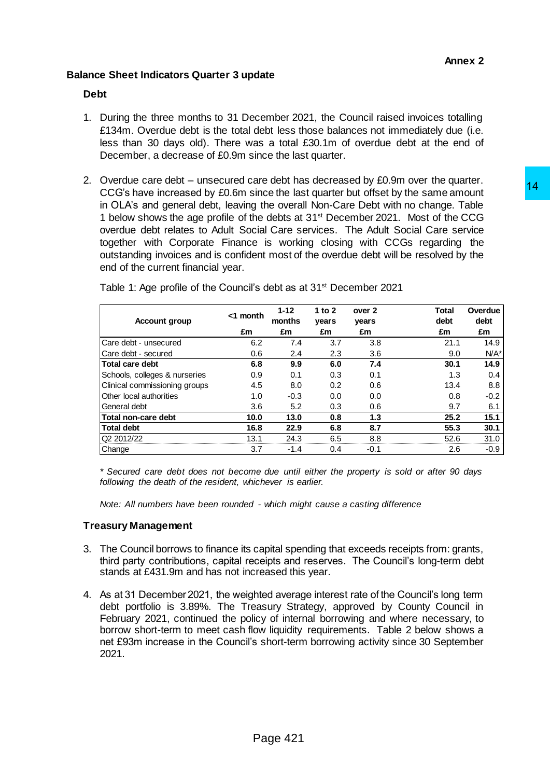# **Balance Sheet Indicators Quarter 3 update**

# **Debt**

- 1. During the three months to 31 December 2021, the Council raised invoices totalling £134m. Overdue debt is the total debt less those balances not immediately due (i.e. less than 30 days old). There was a total £30.1m of overdue debt at the end of December, a decrease of £0.9m since the last quarter.
- 2. Overdue care debt unsecured care debt has decreased by £0.9m over the quarter. CCG's have increased by £0.6m since the last quarter but offset by the same amount in OLA's and general debt, leaving the overall Non-Care Debt with no change. Table 1 below shows the age profile of the debts at 31<sup>st</sup> December 2021. Most of the CCG overdue debt relates to Adult Social Care services. The Adult Social Care service together with Corporate Finance is working closing with CCGs regarding the outstanding invoices and is confident most of the overdue debt will be resolved by the end of the current financial year.

| <b>Account group</b>                                                                                                                                                                                                                                        | <1 month   | $1 - 12$   |                   |                                                                                                                                                                        |                      |                 |
|-------------------------------------------------------------------------------------------------------------------------------------------------------------------------------------------------------------------------------------------------------------|------------|------------|-------------------|------------------------------------------------------------------------------------------------------------------------------------------------------------------------|----------------------|-----------------|
|                                                                                                                                                                                                                                                             |            | months     | 1 to $2$<br>years | over 2<br>years                                                                                                                                                        | <b>Total</b><br>debt | Overdue<br>debt |
|                                                                                                                                                                                                                                                             | £m         | £m         | £m                | £m                                                                                                                                                                     | £m                   | £m              |
| Care debt - unsecured                                                                                                                                                                                                                                       | 6.2        | 7.4        | 3.7               | 3.8                                                                                                                                                                    | 21.1                 | 14.9            |
| Care debt - secured<br><b>Total care debt</b>                                                                                                                                                                                                               | 0.6<br>6.8 | 2.4<br>9.9 | 2.3<br>6.0        | 3.6<br>7.4                                                                                                                                                             | 9.0<br>30.1          | $N/A^*$<br>14.9 |
| Schools, colleges & nurseries                                                                                                                                                                                                                               | 0.9        | 0.1        | 0.3               | 0.1                                                                                                                                                                    | 1.3                  | 0.4             |
| Clinical commissioning groups                                                                                                                                                                                                                               | 4.5        | 8.0        | 0.2               | 0.6                                                                                                                                                                    | 13.4                 | 8.8             |
| Other local authorities                                                                                                                                                                                                                                     | 1.0        | $-0.3$     | 0.0               | 0.0                                                                                                                                                                    | 0.8                  | $-0.2$          |
| General debt                                                                                                                                                                                                                                                | 3.6        | 5.2        | 0.3               | 0.6                                                                                                                                                                    | 9.7                  | 6.1             |
| Total non-care debt                                                                                                                                                                                                                                         | 10.0       | 13.0       | 0.8               | 1.3                                                                                                                                                                    | 25.2                 | 15.1            |
| <b>Total debt</b>                                                                                                                                                                                                                                           | 16.8       | 22.9       | 6.8               | 8.7                                                                                                                                                                    | 55.3                 | 30.1            |
| Q2 2012/22                                                                                                                                                                                                                                                  | 13.1       | 24.3       | 6.5               | 8.8                                                                                                                                                                    | 52.6                 | 31.0            |
| Change                                                                                                                                                                                                                                                      | 3.7        | $-1.4$     | 0.4               | -0.1                                                                                                                                                                   | 2.6                  | $-0.9$          |
| asury Management<br>The Council borrows to finance its capital spending that exceeds receipts from: grants,<br>third party contributions, capital receipts and reserves. The Council's long-term debt<br>stands at £431.9m and has not increased this year. |            |            |                   | As at 31 December 2021, the weighted average interest rate of the Council's long term<br>debt portfolio is 3.89%. The Treasury Strategy, approved by County Council in |                      |                 |

# **Treasury Management**

- 3. The Council borrows to finance its capital spending that exceeds receipts from: grants, third party contributions, capital receipts and reserves. The Council's long-term debt stands at £431.9m and has not increased this year.
- 4. As at 31 December 2021, the weighted average interest rate of the Council's long term debt portfolio is 3.89%. The Treasury Strategy, approved by County Council in February 2021, continued the policy of internal borrowing and where necessary, to borrow short-term to meet cash flow liquidity requirements. Table 2 below shows a net £93m increase in the Council's short-term borrowing activity since 30 September 2021.